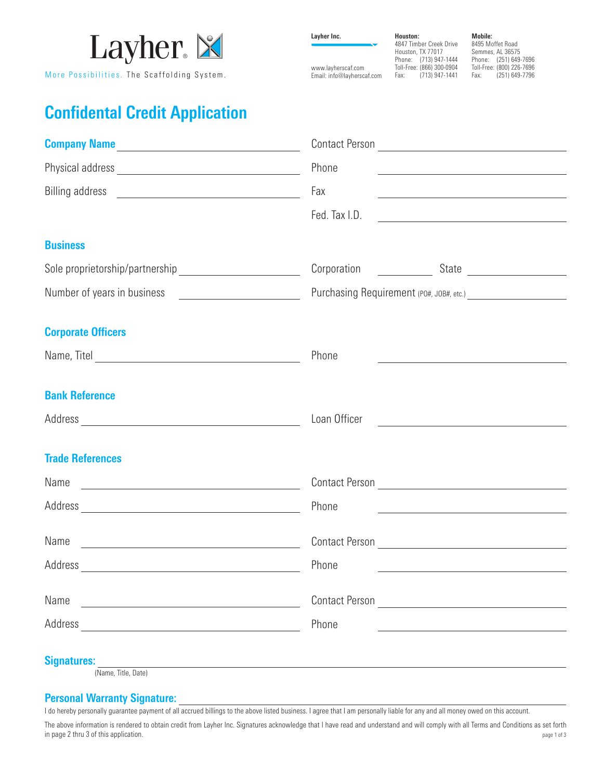

More Possibilities. The Scaffolding System.

**Layher Inc.**

www.layherscaf.com

Email: info@layherscaf.com **Houston:** 4847 Timber Creek Drive Houston, TX 77017 Phone: (713) 947-1444 Toll-Free: (866) 300-0904 Fax: (713) 947-1441

**Mobile:**

8495 Moffet Road Semmes, AL 36575 Phone: (251) 649-7696 Toll-Free: (800) 226-7696<br>Fax: (251) 649-7796 Fax: (251) 649-7796

## **Confidental Credit Application**

| Company Name<br><u>Letter and the company of the company of the company of the company of the company of the company of the company of the company of the company of the company of the company of the company of the company of t</u> |                                                                                                                                        |
|----------------------------------------------------------------------------------------------------------------------------------------------------------------------------------------------------------------------------------------|----------------------------------------------------------------------------------------------------------------------------------------|
|                                                                                                                                                                                                                                        | Phone<br>the control of the control of the control of the control of the control of the control of                                     |
|                                                                                                                                                                                                                                        | Fax                                                                                                                                    |
|                                                                                                                                                                                                                                        | Fed. Tax I.D.<br><u> 1989 - Johann Harry Harry Harry Harry Harry Harry Harry Harry Harry Harry Harry Harry Harry Harry Harry Harry</u> |
| <b>Business</b>                                                                                                                                                                                                                        |                                                                                                                                        |
|                                                                                                                                                                                                                                        |                                                                                                                                        |
|                                                                                                                                                                                                                                        |                                                                                                                                        |
| <b>Corporate Officers</b>                                                                                                                                                                                                              |                                                                                                                                        |
|                                                                                                                                                                                                                                        | Phone<br><u> 1989 - Johann John Stone, market fan de Amerikaanske kommunister (</u>                                                    |
| <b>Bank Reference</b>                                                                                                                                                                                                                  |                                                                                                                                        |
|                                                                                                                                                                                                                                        | Loan Officer<br><u> 1980 - Andrea State Barbara, política e a contra de la contra de la contra de la contra de la contra de la c</u>   |
| <b>Trade References</b>                                                                                                                                                                                                                |                                                                                                                                        |
| Name and the state of the state of the state of the state of the state of the state of the state of the state of the state of the state of the state of the state of the state of the state of the state of the state of the s         | Contact Person New York Contact Person                                                                                                 |
|                                                                                                                                                                                                                                        | Phone<br><u> 1989 - Johann Barn, mars ann an t-Amhainn an t-Amhainn an t-Amhainn an t-Amhainn an t-Amhainn an t-Amhainn an </u>        |
|                                                                                                                                                                                                                                        |                                                                                                                                        |
|                                                                                                                                                                                                                                        | Phone                                                                                                                                  |
| Name<br><u> 1989 - John Stein, Amerikaansk politiker (</u>                                                                                                                                                                             | Contact Person <u>________________________</u>                                                                                         |
|                                                                                                                                                                                                                                        | Phone                                                                                                                                  |
| <b>Signatures:</b><br><u> 1989 - Johann Barn, mars ann an t-Amhain an t-Amhain an t-Amhain an t-Amhain an t-Amhain an t-Amhain an t-Amh</u><br>(Name, Title, Date)                                                                     |                                                                                                                                        |

**Personal Warranty Signature:**

I do hereby personally guarantee payment of all accrued billings to the above listed business. I agree that I am personally liable for any and all money owed on this account.

The above information is rendered to obtain credit from Layher Inc. Signatures acknowledge that I have read and understand and will comply with all Terms and Conditions as set forth in page 2 thru 3 of this application. page 1 of 3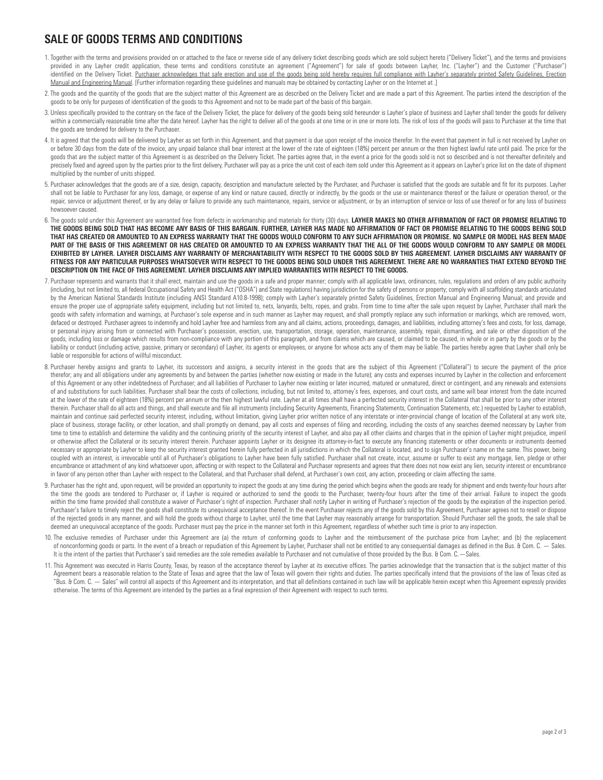## **SALE OF GOODS TERMS AND CONDITIONS**

- 1. Together with the terms and provisions provided on or attached to the face or reverse side of any delivery ticket describing goods which are sold subject hereto ("Delivery Ticket"), and the terms and provisions provided in any Layher credit application, these terms and conditions constitute an agreement ("Agreement") for sale of goods between Layher, Inc. ("Layher") and the Customer ("Purchaser") identified on the Delivery Ticket. Purchaser acknowledges that safe erection and use of the goods being sold hereby requires full compliance with Layher's separately printed Safety Guidelines, Erection Manual and Engineering Manual. [Further information regarding these guidelines and manuals may be obtained by contacting Layher or on the Internet at .]
- 2. The goods and the quantity of the goods that are the subject matter of this Agreement are as described on the Delivery Ticket and are made a part of this Agreement. The parties intend the description of the goods to be only for purposes of identification of the goods to this Agreement and not to be made part of the basis of this bargain.
- 3. Unless specifically provided to the contrary on the face of the Delivery Ticket, the place for delivery of the goods being sold hereunder is Layher's place of business and Layher shall tender the goods for delivery within a commercially reasonable time after the date hereof. Layher has the right to deliver all of the goods at one time or in one or more lots. The risk of loss of the goods will pass to Purchaser at the time that the goods are tendered for delivery to the Purchaser.
- 4. It is agreed that the goods will be delivered by Layher as set forth in this Agreement, and that payment is due upon receipt of the invoice therefor. In the event that payment in full is not received by Layher on or before 30 days from the date of the invoice, any unpaid balance shall bear interest at the lower of the rate of eighteen (18%) percent per annum or the then highest lawful rate until paid. The price for the goods that are the subject matter of this Agreement is as described on the Delivery Ticket. The parties agree that, in the event a price for the goods sold is not so described and is not thereafter definitely and precisely fixed and agreed upon by the parties prior to the first delivery. Purchaser will pay as a price the unit cost of each item sold under this Agreement as it appears on Layher's price list on the date of shipment multiplied by the number of units shipped.
- 5. Purchaser acknowledges that the goods are of a size, design, capacity, description and manufacture selected by the Purchaser, and Purchaser is satisfied that the goods are suitable and fit for its purposes. Layher shall not be liable to Purchaser for any loss, damage, or expense of any kind or nature caused, directly or indirectly, by the goods or the use or maintenance thereof or the failure or operation thereof, or the repair, service or adjustment thereof, or by any delay or failure to provide any such maintenance, repairs, service or adjustment, or by an interruption of service or loss of use thereof or for any loss of business howsoever caused.
- 6. The goods sold under this Agreement are warranted free from defects in workmanship and materials for thirty (30) days. **LAYHER MAKES NO OTHER AFFIRMATION OF FACT OR PROMISE RELATING TO THE GOODS BEING SOLD THAT HAS BECOME ANY BASIS OF THIS BARGAIN. FURTHER, LAYHER HAS MADE NO AFFIRMATION OF FACT OR PROMISE RELATING TO THE GOODS BEING SOLD THAT HAS CREATED OR AMOUNTED TO AN EXPRESS WARRANTY THAT THE GOODS WOULD CONFORM TO ANY SUCH AFFIRMATION OR PROMISE. NO SAMPLE OR MODEL HAS BEEN MADE PART OF THE BASIS OF THIS AGREEMENT OR HAS CREATED OR AMOUNTED TO AN EXPRESS WARRANTY THAT THE ALL OF THE GOODS WOULD CONFORM TO ANY SAMPLE OR MODEL EXHIBITED BY LAYHER. LAYHER DISCLAIMS ANY WARRANTY OF MERCHANTABILITY WITH RESPECT TO THE GOODS SOLD BY THIS AGREEMENT. LAYHER DISCLAIMS ANY WARRANTY OF FITNESS FOR ANY PARTICULAR PURPOSES WHATSOEVER WITH RESPECT TO THE GOODS BEING SOLD UNDER THIS AGREEMENT. THERE ARE NO WARRANTIES THAT EXTEND BEYOND THE DESCRIPTION ON THE FACE OF THIS AGREEMENT. LAYHER DISCLAIMS ANY IMPLIED WARRANTIES WITH RESPECT TO THE GOODS.**
- 7. Purchaser represents and warrants that it shall erect, maintain and use the goods in a safe and proper manner; comply with all applicable laws, ordinances, rules, regulations and orders of any public authority (including, but not limited to, all federal Occupational Safety and Health Act ("OSHA") and State regulations) having jurisdiction for the safety of persons or property; comply with all scaffolding standards articulated by the American National Standards Institute (including ANSI Standard A10.8-1998); comply with Layher's separately printed Safety Guidelines, Erection Manual and Engineering Manual; and provide and ensure the proper use of appropriate safety equipment, including but not limited to, nets, lanyards, belts, ropes, and grabs. From time to time after the sale upon request by Layher, Purchaser shall mark the goods with safety information and warnings, at Purchaser's sole expense and in such manner as Layher may request, and shall promptly replace any such information or markings, which are removed, worn, defaced or destroyed. Purchaser agrees to indemnify and hold Layher free and harmless from any and all claims, actions, proceedings, damages, and liabilities, including attorney's fees and costs, for loss, damage, or personal injury arising from or connected with Purchaser's possession, erection, use, transportation, storage, operation, maintenance, assembly, repair, dismantling, and sale or other disposition of the goods, including loss or damage which results from non-compliance with any portion of this paragraph, and from claims which are caused, or claimed to be caused, in whole or in party by the goods or by the liability or conduct (including active, passive, primary or secondary) of Layher, its agents or employees, or anyone for whose acts any of them may be liable. The parties hereby agree that Layher shall only be liable or responsible for actions of willful misconduct.
- 8. Purchaser hereby assigns and grants to Layher, its successors and assigns, a security interest in the goods that are the subject of this Agreement ("Collateral") to secure the payment of the price therefor; any and all obligations under any agreements by and between the parties (whether now existing or made in the future); any costs and expenses incurred by Layher in the collection and enforcement of this Agreement or any other indebtedness of Purchaser; and all liabilities of Purchaser to Layher now existing or later incurred, matured or unmatured, direct or contingent, and any renewals and extensions of and substitutions for such liabilities. Purchaser shall bear the costs of collections, including, but not limited to, attorney's fees, expenses, and court costs, and same will bear interest from the date incurred at the lower of the rate of eighteen (18%) percent per annum or the then highest lawful rate. Layher at all times shall have a perfected security interest in the Collateral that shall be prior to any other interest therein. Purchaser shall do all acts and things, and shall execute and file all instruments (including Security Agreements, Financing Statements, Continuation Statements, etc.) requested by Layher to establish, maintain and continue said perfected security interest, including, without limitation, giving Layher prior written notice of any interstate or inter-provincial change of location of the Collateral at any work site, place of business, storage facility, or other location, and shall promptly on demand, pay all costs and expenses of filing and recording, including the costs of any searches deemed necessary by Layher from time to time to establish and determine the validity and the continuing priority of the security interest of Layher, and also pay all other claims and charges that in the opinion of Layher might prejudice, imperil or otherwise affect the Collateral or its security interest therein. Purchaser appoints Layher or its designee its attorney-in-fact to execute any financing statements or other documents or instruments deemed necessary or appropriate by Layher to keep the security interest granted herein fully perfected in all jurisdictions in which the Collateral is located, and to sign Purchaser's name on the same. This power, being coupled with an interest, is irrevocable until all of Purchaser's obligations to Layher have been fully satisfied. Purchaser shall not create, incur, assume or suffer to exist any mortgage, lien, pledge or other encumbrance or attachment of any kind whatsoever upon, affecting or with respect to the Collateral and Purchaser represents and agrees that there does not now exist any lien, security interest or encumbrance in favor of any person other than Layher with respect to the Collateral, and that Purchaser shall defend, at Purchaser's own cost, any action, proceeding or claim affecting the same.
- 9. Purchaser has the right and, upon request, will be provided an opportunity to inspect the goods at any time during the period which begins when the goods are ready for shipment and ends twenty-four hours after the time the goods are tendered to Purchaser or, if Layher is required or authorized to send the goods to the Purchaser, twenty-four hours after the time of their arrival. Failure to inspect the goods within the time frame provided shall constitute a waiver of Purchaser's right of inspection. Purchaser shall notify Layher in writing of Purchaser's rejection of the goods by the expiration of the inspection period. Purchaser's failure to timely reject the goods shall constitute its unequivocal acceptance thereof. In the event Purchaser rejects any of the goods sold by this Agreement, Purchaser agrees not to resell or dispose of the rejected goods in any manner, and will hold the goods without charge to Layher, until the time that Layher may reasonably arrange for transportation. Should Purchaser sell the goods, the sale shall be deemed an unequivocal acceptance of the goods. Purchaser must pay the price in the manner set forth in this Agreement, regardless of whether such time is prior to any inspection.
- 10. The exclusive remedies of Purchaser under this Agreement are (a) the return of conforming goods to Layher and the reimbursement of the purchase price from Layher; and (b) the replacement of nonconforming goods or parts. In the event of a breach or repudiation of this Agreement by Layher, Purchaser shall not be entitled to any consequential damages as defined in the Bus. & Com. C. — Sales. It is the intent of the parties that Purchaser's said remedies are the sole remedies available to Purchaser and not cumulative of those provided by the Bus. & Com. C.—Sales.
- 11. This Agreement was executed in Harris County, Texas, by reason of the acceptance thereof by Layher at its executive offices. The parties acknowledge that the transaction that is the subject matter of this Agreement bears a reasonable relation to the State of Texas and agree that the law of Texas will govern their rights and duties. The parties specifically intend that the provisions of the law of Texas cited as "Bus. & Com. C. — Sales" will control all aspects of this Agreement and its interpretation, and that all definitions contained in such law will be applicable herein except when this Agreement expressly provides otherwise. The terms of this Agreement are intended by the parties as a final expression of their Agreement with respect to such terms.